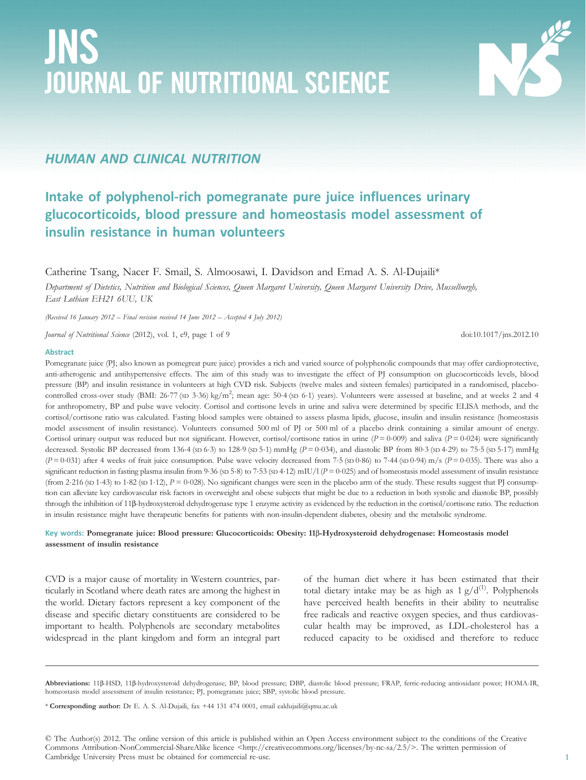# JNS JOURNAL OF NUTRITIONAL SCIENCE



# HUMAN AND CLINICAL NUTRITION

# Intake of polyphenol-rich pomegranate pure juice influences urinary glucocorticoids, blood pressure and homeostasis model assessment of insulin resistance in human volunteers

Catherine Tsang, Nacer F. Smail, S. Almoosawi, I. Davidson and Emad A. S. Al-Dujaili\*

Department of Dietetics, Nutrition and Biological Sciences, Queen Margaret University, Queen Margaret University Drive, Musselburgh, East Lothian EH21 6UU, UK

(Received 16 January 2012 – Final revision received 14 June 2012 – Accepted 4 July 2012)

Journal of Nutritional Science (2012), vol. 1, e9, page 1 of 9 doi:10.1017/jns.2012.10

#### Abstract

Pomegranate juice (PJ; also known as pomegreat pure juice) provides a rich and varied source of polyphenolic compounds that may offer cardioprotective, anti-atherogenic and antihypertensive effects. The aim of this study was to investigate the effect of PJ consumption on glucocorticoids levels, blood pressure (BP) and insulin resistance in volunteers at high CVD risk. Subjects (twelve males and sixteen females) participated in a randomised, placebocontrolled cross-over study (BMI:  $26.77$  (sD  $3.36$ ) kg/m<sup>2</sup>; mean age:  $50.4$  (sD  $6.1$ ) years). Volunteers were assessed at baseline, and at weeks 2 and 4 for anthropometry, BP and pulse wave velocity. Cortisol and cortisone levels in urine and saliva were determined by specific ELISA methods, and the cortisol/cortisone ratio was calculated. Fasting blood samples were obtained to assess plasma lipids, glucose, insulin and insulin resistance (homeostasis model assessment of insulin resistance). Volunteers consumed 500 ml of PJ or 500 ml of a placebo drink containing a similar amount of energy. Cortisol urinary output was reduced but not significant. However, cortisol/cortisone ratios in urine ( $P = 0.009$ ) and saliva ( $P = 0.024$ ) were significantly decreased. Systolic BP decreased from 136.4 (sp 6.3) to 128.9 (sp 5.1) mmHg ( $P = 0.034$ ), and diastolic BP from 80.3 (sp 4.29) to 75.5 (sp 5.17) mmHg  $(P=0.031)$  after 4 weeks of fruit juice consumption. Pulse wave velocity decreased from 7.5 (sp 0.86) to 7.44 (sp 0.94) m/s  $(P=0.035)$ . There was also a significant reduction in fasting plasma insulin from 9.36 (sD 5.8) to 7.53 (sD 4.12) mIU/l  $(P = 0.025)$  and of homeostasis model assessment of insulin resistance (from 2·216 (sp 1·43) to 1·82 (sp 1·12),  $P = 0.028$ ). No significant changes were seen in the placebo arm of the study. These results suggest that PJ consumption can alleviate key cardiovascular risk factors in overweight and obese subjects that might be due to a reduction in both systolic and diastolic BP, possibly through the inhibition of 11β-hydroxysteroid dehydrogenase type 1 enzyme activity as evidenced by the reduction in the cortisol/cortisone ratio. The reduction in insulin resistance might have therapeutic benefits for patients with non-insulin-dependent diabetes, obesity and the metabolic syndrome.

## Key words: Pomegranate juice: Blood pressure: Glucocorticoids: Obesity: 11β-Hydroxysteroid dehydrogenase: Homeostasis model assessment of insulin resistance

CVD is a major cause of mortality in Western countries, particularly in Scotland where death rates are among the highest in the world. Dietary factors represent a key component of the disease and specific dietary constituents are considered to be important to health. Polyphenols are secondary metabolites widespread in the plant kingdom and form an integral part

of the human diet where it has been estimated that their total dietary intake may be as high as  $1 g/d^{(1)}$ . Polyphenols have perceived health benefits in their ability to neutralise free radicals and reactive oxygen species, and thus cardiovascular health may be improved, as LDL-cholesterol has a reduced capacity to be oxidised and therefore to reduce

Abbreviations: 11β-HSD, 11β-hydroxysteroid dehydrogenase; BP, blood pressure; DBP, diastolic blood pressure; FRAP, ferric-reducing antioxidant power; HOMA-IR, homeostasis model assessment of insulin resistance; PJ, pomegranate juice; SBP, systolic blood pressure.

<sup>\*</sup> Corresponding author: Dr E. A. S. Al-Dujaili, fax +44 131 474 0001, email ealdujaili@qmu.ac.uk

<sup>©</sup> The Author(s) 2012. The online version of this article is published within an Open Access environment subject to the conditions of the Creative Commons Attribution-NonCommercial-ShareAlike licence <http://creativecommons.org/licenses/by-nc-sa/2.5/>. The written permission of Cambridge University Press must be obtained for commercial re-use.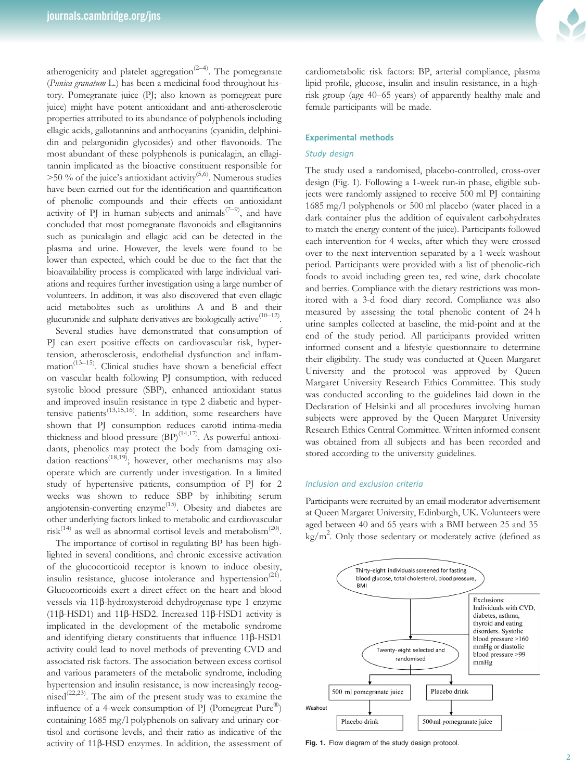

Several studies have demonstrated that consumption of PJ can exert positive effects on cardiovascular risk, hypertension, atherosclerosis, endothelial dysfunction and inflammation<sup>(13-15)</sup>. Clinical studies have shown a beneficial effect on vascular health following PJ consumption, with reduced systolic blood pressure (SBP), enhanced antioxidant status and improved insulin resistance in type 2 diabetic and hypertensive patients<sup> $(13,15,16)$ </sup>. In addition, some researchers have shown that PJ consumption reduces carotid intima-media thickness and blood pressure  $(BP)^{(14,17)}$ . As powerful antioxidants, phenolics may protect the body from damaging oxidation reactions<sup> $(18,19)$ </sup>; however, other mechanisms may also operate which are currently under investigation. In a limited study of hypertensive patients, consumption of PJ for 2 weeks was shown to reduce SBP by inhibiting serum angiotensin-converting enzyme<sup>(15)</sup>. Obesity and diabetes are other underlying factors linked to metabolic and cardiovascular risk<sup>(14)</sup> as well as abnormal cortisol levels and metabolism<sup>(20)</sup>.

The importance of cortisol in regulating BP has been highlighted in several conditions, and chronic excessive activation of the glucocorticoid receptor is known to induce obesity, insulin resistance, glucose intolerance and hypertension<sup> $(21)$ </sup>. Glucocorticoids exert a direct effect on the heart and blood vessels via 11β-hydroxysteroid dehydrogenase type 1 enzyme (11β-HSD1) and 11β-HSD2. Increased 11β-HSD1 activity is implicated in the development of the metabolic syndrome and identifying dietary constituents that influence 11β-HSD1 activity could lead to novel methods of preventing CVD and associated risk factors. The association between excess cortisol and various parameters of the metabolic syndrome, including hypertension and insulin resistance, is now increasingly recognised<sup> $(22,23)$ </sup>. The aim of the present study was to examine the influence of a 4-week consumption of PJ (Pomegreat Pure®) containing 1685 mg/l polyphenols on salivary and urinary cortisol and cortisone levels, and their ratio as indicative of the activity of 11β-HSD enzymes. In addition, the assessment of



cardiometabolic risk factors: BP, arterial compliance, plasma lipid profile, glucose, insulin and insulin resistance, in a highrisk group (age 40–65 years) of apparently healthy male and female participants will be made.

#### Experimental methods

# Study design

The study used a randomised, placebo-controlled, cross-over design (Fig. 1). Following a 1-week run-in phase, eligible subjects were randomly assigned to receive 500 ml PJ containing 1685 mg/l polyphenols or 500 ml placebo (water placed in a dark container plus the addition of equivalent carbohydrates to match the energy content of the juice). Participants followed each intervention for 4 weeks, after which they were crossed over to the next intervention separated by a 1-week washout period. Participants were provided with a list of phenolic-rich foods to avoid including green tea, red wine, dark chocolate and berries. Compliance with the dietary restrictions was monitored with a 3-d food diary record. Compliance was also measured by assessing the total phenolic content of 24 h urine samples collected at baseline, the mid-point and at the end of the study period. All participants provided written informed consent and a lifestyle questionnaire to determine their eligibility. The study was conducted at Queen Margaret University and the protocol was approved by Queen Margaret University Research Ethics Committee. This study was conducted according to the guidelines laid down in the Declaration of Helsinki and all procedures involving human subjects were approved by the Queen Margaret University Research Ethics Central Committee. Written informed consent was obtained from all subjects and has been recorded and stored according to the university guidelines.

#### Inclusion and exclusion criteria

Participants were recruited by an email moderator advertisement at Queen Margaret University, Edinburgh, UK. Volunteers were aged between 40 and 65 years with a BMI between 25 and 35 kg/m2 . Only those sedentary or moderately active (defined as



Fig. 1. Flow diagram of the study design protocol.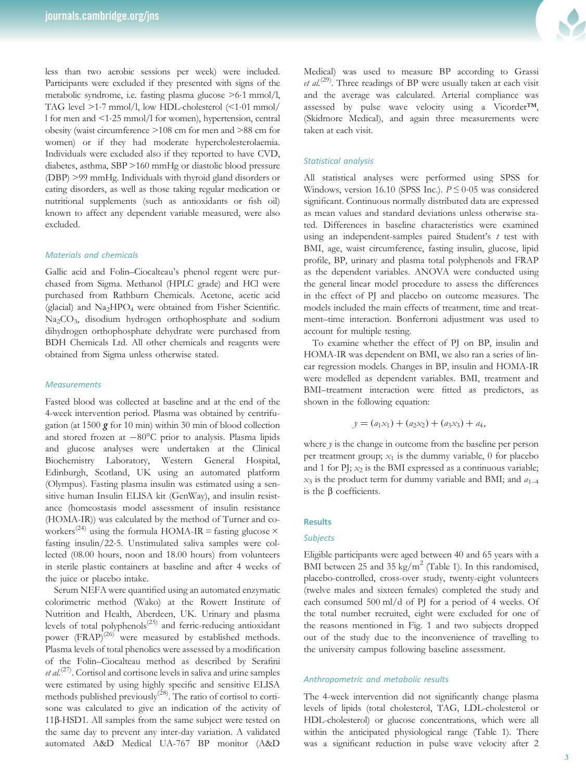less than two aerobic sessions per week) were included. Participants were excluded if they presented with signs of the metabolic syndrome, i.e. fasting plasma glucose >6·1 mmol/l, TAG level >1·7 mmol/l, low HDL-cholesterol (<1·01 mmol/ l for men and <1·25 mmol/l for women), hypertension, central obesity (waist circumference >108 cm for men and >88 cm for women) or if they had moderate hypercholesterolaemia. Individuals were excluded also if they reported to have CVD, diabetes, asthma, SBP >160 mmHg or diastolic blood pressure (DBP) >99 mmHg. Individuals with thyroid gland disorders or eating disorders, as well as those taking regular medication or nutritional supplements (such as antioxidants or fish oil) known to affect any dependent variable measured, were also excluded.

## Materials and chemicals

Gallic acid and Folin–Ciocalteau's phenol regent were purchased from Sigma. Methanol (HPLC grade) and HCl were purchased from Rathburn Chemicals. Acetone, acetic acid (glacial) and Na2HPO4 were obtained from Fisher Scientific. Na<sub>2</sub>CO<sub>3</sub>, disodium hydrogen orthophosphate and sodium dihydrogen orthophosphate dehydrate were purchased from BDH Chemicals Ltd. All other chemicals and reagents were obtained from Sigma unless otherwise stated.

#### **Measurements**

Fasted blood was collected at baseline and at the end of the 4-week intervention period. Plasma was obtained by centrifugation (at 1500  $g$  for 10 min) within 30 min of blood collection and stored frozen at −80°C prior to analysis. Plasma lipids and glucose analyses were undertaken at the Clinical Biochemistry Laboratory, Western General Hospital, Edinburgh, Scotland, UK using an automated platform (Olympus). Fasting plasma insulin was estimated using a sensitive human Insulin ELISA kit (GenWay), and insulin resistance (homeostasis model assessment of insulin resistance (HOMA-IR)) was calculated by the method of Turner and coworkers<sup>(24)</sup> using the formula HOMA-IR = fasting glucose  $\times$ fasting insulin/22·5. Unstimulated saliva samples were collected (08.00 hours, noon and 18.00 hours) from volunteers in sterile plastic containers at baseline and after 4 weeks of the juice or placebo intake.

Serum NEFA were quantified using an automated enzymatic colorimetric method (Wako) at the Rowett Institute of Nutrition and Health, Aberdeen, UK. Urinary and plasma levels of total polyphenols<sup>(25)</sup> and ferric-reducing antioxidant power  $(FRAP)^{(26)}$  were measured by established methods. Plasma levels of total phenolics were assessed by a modification of the Folin–Ciocalteau method as described by Serafini  $et al.<sup>(27)</sup>$ . Cortisol and cortisone levels in saliva and urine samples were estimated by using highly specific and sensitive ELISA methods published previously<sup>(28)</sup>. The ratio of cortisol to cortisone was calculated to give an indication of the activity of 11β-HSD1. All samples from the same subject were tested on the same day to prevent any inter-day variation. A validated automated A&D Medical UA-767 BP monitor (A&D



Medical) was used to measure BP according to Grassi et al.<sup>(29)</sup>. Three readings of BP were usually taken at each visit and the average was calculated. Arterial compliance was assessed by pulse wave velocity using a Vicorder™, (Skidmore Medical), and again three measurements were taken at each visit.

# Statistical analysis

All statistical analyses were performed using SPSS for Windows, version 16.10 (SPSS Inc.).  $P \le 0.05$  was considered significant. Continuous normally distributed data are expressed as mean values and standard deviations unless otherwise stated. Differences in baseline characteristics were examined using an independent-samples paired Student's  $t$  test with BMI, age, waist circumference, fasting insulin, glucose, lipid profile, BP, urinary and plasma total polyphenols and FRAP as the dependent variables. ANOVA were conducted using the general linear model procedure to assess the differences in the effect of PJ and placebo on outcome measures. The models included the main effects of treatment, time and treatment–time interaction. Bonferroni adjustment was used to account for multiple testing.

To examine whether the effect of PJ on BP, insulin and HOMA-IR was dependent on BMI, we also ran a series of linear regression models. Changes in BP, insulin and HOMA-IR were modelled as dependent variables. BMI, treatment and BMI–treatment interaction were fitted as predictors, as shown in the following equation:

$$
y = (a_1x_1) + (a_2x_2) + (a_3x_3) + a_4,
$$

where  $y$  is the change in outcome from the baseline per person per treatment group;  $x_1$  is the dummy variable, 0 for placebo and 1 for PJ;  $x_2$  is the BMI expressed as a continuous variable;  $x_3$  is the product term for dummy variable and BMI; and  $a_{1-4}$ is the β coefficients.

#### **Results**

#### Subjects

Eligible participants were aged between 40 and 65 years with a BMI between 25 and 35 kg/m<sup>2</sup> (Table 1). In this randomised, placebo-controlled, cross-over study, twenty-eight volunteers (twelve males and sixteen females) completed the study and each consumed 500 ml/d of PJ for a period of 4 weeks. Of the total number recruited, eight were excluded for one of the reasons mentioned in Fig. 1 and two subjects dropped out of the study due to the inconvenience of travelling to the university campus following baseline assessment.

# Anthropometric and metabolic results

The 4-week intervention did not significantly change plasma levels of lipids (total cholesterol, TAG, LDL-cholesterol or HDL-cholesterol) or glucose concentrations, which were all within the anticipated physiological range (Table 1). There was a significant reduction in pulse wave velocity after 2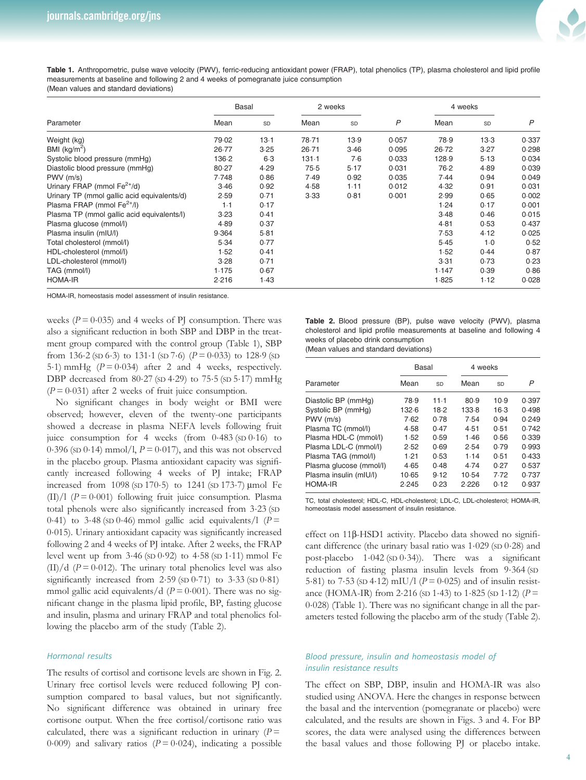

Table 1. Anthropometric, pulse wave velocity (PWV), ferric-reducing antioxidant power (FRAP), total phenolics (TP), plasma cholesterol and lipid profile measurements at baseline and following 2 and 4 weeks of pomegranate juice consumption (Mean values and standard deviations)

| Parameter                                   | <b>Basal</b> |           | 2 weeks |      |                | 4 weeks |      |       |
|---------------------------------------------|--------------|-----------|---------|------|----------------|---------|------|-------|
|                                             | Mean         | <b>SD</b> | Mean    | SD   | $\overline{P}$ | Mean    | SD   | P     |
| Weight (kg)                                 | 79.02        | 13.1      | 78.71   | 13.9 | 0.057          | 78.9    | 13.3 | 0.337 |
| BMI ( $kg/m2$ )                             | 26.77        | 3.25      | 26.71   | 3.46 | 0.095          | 26.72   | 3.27 | 0.298 |
| Systolic blood pressure (mmHg)              | 136.2        | $6-3$     | 131.1   | 7.6  | 0.033          | 128.9   | 5.13 | 0.034 |
| Diastolic blood pressure (mmHg)             | 80.27        | 4.29      | 75.5    | 5.17 | 0.031          | 76.2    | 4.89 | 0.039 |
| $PWV$ (m/s)                                 | 7.748        | 0.86      | 7.49    | 0.92 | 0.035          | 7.44    | 0.94 | 0.049 |
| Urinary FRAP (mmol $Fe^{2+}/d$ )            | 3.46         | 0.92      | 4.58    | 1.11 | 0.012          | 4.32    | 0.91 | 0.031 |
| Urinary TP (mmol gallic acid equivalents/d) | 2.59         | 0.71      | 3.33    | 0.81 | 0.001          | 2.99    | 0.65 | 0.002 |
| Plasma FRAP (mmol $Fe^{2+}/I$ )             | 1.1          | 0.17      |         |      |                | 1.24    | 0.17 | 0.001 |
| Plasma TP (mmol gallic acid equivalents/l)  | 3.23         | 0.41      |         |      |                | 3.48    | 0.46 | 0.015 |
| Plasma glucose (mmol/l)                     | 4.89         | 0.37      |         |      |                | 4.81    | 0.53 | 0.437 |
| Plasma insulin (mIU/l)                      | 9.364        | 5.81      |         |      |                | 7.53    | 4.12 | 0.025 |
| Total cholesterol (mmol/l)                  | 5.34         | 0.77      |         |      |                | 5.45    | 1.0  | 0.52  |
| HDL-cholesterol (mmol/l)                    | 1.52         | 0.41      |         |      |                | 1.52    | 0.44 | 0.87  |
| LDL-cholesterol (mmol/l)                    | 3.28         | 0.71      |         |      |                | 3.31    | 0.73 | 0.23  |
| TAG (mmol/l)                                | 1.175        | 0.67      |         |      |                | 1.147   | 0.39 | 0.86  |
| <b>HOMA-IR</b>                              | 2.216        | 1.43      |         |      |                | 1.825   | 1.12 | 0.028 |

HOMA-IR, homeostasis model assessment of insulin resistance.

weeks ( $P = 0.035$ ) and 4 weeks of PJ consumption. There was also a significant reduction in both SBP and DBP in the treatment group compared with the control group (Table 1), SBP from 136 $\cdot$ 2 (SD 6 $\cdot$ 3) to 131 $\cdot$ 1 (SD 7 $\cdot$ 6) (P = 0 $\cdot$ 033) to 128 $\cdot$ 9 (SD 5.1) mmHg  $(P = 0.034)$  after 2 and 4 weeks, respectively. DBP decreased from  $80.27$  (sp  $4.29$ ) to  $75.5$  (sp  $5.17$ ) mmHg  $(P = 0.031)$  after 2 weeks of fruit juice consumption.

No significant changes in body weight or BMI were observed; however, eleven of the twenty-one participants showed a decrease in plasma NEFA levels following fruit juice consumption for 4 weeks (from  $0.483$  (SD  $0.16$ ) to 0.396 (sp 0.14) mmol/l,  $P = 0.017$ ), and this was not observed in the placebo group. Plasma antioxidant capacity was significantly increased following 4 weeks of PJ intake; FRAP increased from 1098 (SD 170·5) to 1241 (SD 173·7) μmol Fe  $(II)/1$  ( $P = 0.001$ ) following fruit juice consumption. Plasma total phenols were also significantly increased from 3.23 (SD 0.41) to 3.48 (SD 0.46) mmol gallic acid equivalents/1 ( $P =$ <sup>0</sup>·015). Urinary antioxidant capacity was significantly increased following 2 and 4 weeks of PJ intake. After 2 weeks, the FRAP level went up from  $3.46$  (sD  $0.92$ ) to  $4.58$  (sD  $1.11$ ) mmol Fe  $(II)/d$  ( $P = 0.012$ ). The urinary total phenolics level was also significantly increased from  $2.59$  (SD  $0.71$ ) to  $3.33$  (SD  $0.81$ ) mmol gallic acid equivalents/d ( $P = 0.001$ ). There was no significant change in the plasma lipid profile, BP, fasting glucose and insulin, plasma and urinary FRAP and total phenolics following the placebo arm of the study (Table 2).

#### Hormonal results

The results of cortisol and cortisone levels are shown in Fig. 2. Urinary free cortisol levels were reduced following PJ consumption compared to basal values, but not significantly. No significant difference was obtained in urinary free cortisone output. When the free cortisol/cortisone ratio was calculated, there was a significant reduction in urinary  $(P =$ 0.009) and salivary ratios ( $P = 0.024$ ), indicating a possible

Table 2. Blood pressure (BP), pulse wave velocity (PWV), plasma cholesterol and lipid profile measurements at baseline and following 4 weeks of placebo drink consumption

(Mean values and standard deviations)

|                         | Basal |      | 4 weeks |      |       |  |
|-------------------------|-------|------|---------|------|-------|--|
| Parameter               | Mean  | SD   | Mean    | SD   | P     |  |
| Diastolic BP (mmHg)     | 78.9  | 11.1 | 80.9    | 10.9 | 0.397 |  |
| Systolic BP (mmHq)      | 132.6 | 18.2 | 133.8   | 16.3 | 0.498 |  |
| $PWV$ (m/s)             | 7.62  | 0.78 | 7.54    | 0.94 | 0.249 |  |
| Plasma TC (mmol/l)      | 4.58  | 0.47 | 4.51    | 0.51 | 0.742 |  |
| Plasma HDL-C (mmol/l)   | 1.52  | 0.59 | 1.46    | 0.56 | 0.339 |  |
| Plasma LDL-C (mmol/l)   | 2.52  | 0.69 | 2.54    | 0.79 | 0.993 |  |
| Plasma TAG (mmol/l)     | 1.21  | 0.53 | 1.14    | 0.51 | 0.433 |  |
| Plasma glucose (mmol/l) | 4.65  | 0.48 | 4.74    | 0.27 | 0.537 |  |
| Plasma insulin (mIU/l)  | 10.65 | 9.12 | 10.54   | 7.72 | 0.737 |  |
| <b>HOMA-IR</b>          | 2.245 | 0.23 | 2.226   | 0.12 | 0.937 |  |

TC, total cholesterol; HDL-C, HDL-cholesterol; LDL-C, LDL-cholesterol; HOMA-IR, homeostasis model assessment of insulin resistance.

effect on 11β-HSD1 activity. Placebo data showed no significant difference (the urinary basal ratio was 1.029 (SD 0.28) and post-placebo 1·042 (SD <sup>0</sup>·34)). There was a significant reduction of fasting plasma insulin levels from 9.364 (SD 5.81) to 7.53 (sp 4.12) mIU/l ( $P = 0.025$ ) and of insulin resistance (HOMA-IR) from 2.216 (sp 1.43) to 1.825 (sp 1.12) ( $P =$ <sup>0</sup>·028) (Table 1). There was no significant change in all the parameters tested following the placebo arm of the study (Table 2).

# Blood pressure, insulin and homeostasis model of insulin resistance results

The effect on SBP, DBP, insulin and HOMA-IR was also studied using ANOVA. Here the changes in response between the basal and the intervention (pomegranate or placebo) were calculated, and the results are shown in Figs. 3 and 4. For BP scores, the data were analysed using the differences between the basal values and those following PJ or placebo intake.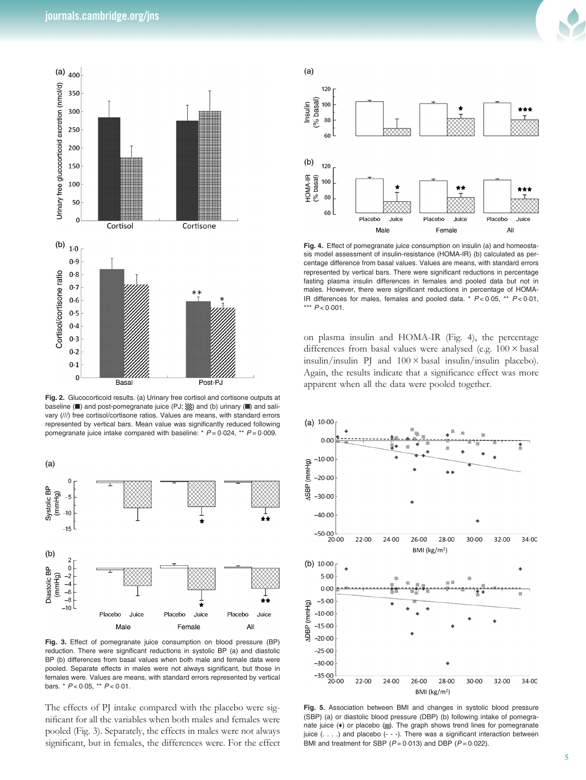

Fig. 2. Glucocorticoid results. (a) Urinary free cortisol and cortisone outputs at baseline (■) and post-pomegranate juice (PJ; ▒) and (b) urinary (■) and salivary (///) free cortisol/cortisone ratios. Values are means, with standard errors represented by vertical bars. Mean value was significantly reduced following pomegranate juice intake compared with baseline: \*  $P = 0.024$ , \*\*  $P = 0.009$ .



Fig. 3. Effect of pomegranate juice consumption on blood pressure (BP) reduction. There were significant reductions in systolic BP (a) and diastolic BP (b) differences from basal values when both male and female data were pooled. Separate effects in males were not always significant, but those in females were. Values are means, with standard errors represented by vertical bars. \*  $P < 0.05$ , \*\*  $P < 0.01$ .

The effects of PJ intake compared with the placebo were significant for all the variables when both males and females were pooled (Fig. 3). Separately, the effects in males were not always significant, but in females, the differences were. For the effect



Fig. 4. Effect of pomegranate juice consumption on insulin (a) and homeostasis model assessment of insulin-resistance (HOMA-IR) (b) calculated as percentage difference from basal values. Values are means, with standard errors represented by vertical bars. There were significant reductions in percentage fasting plasma insulin differences in females and pooled data but not in males. However, there were significant reductions in percentage of HOMA-IR differences for males, females and pooled data.  $* P < 0.05$ ,  $* P < 0.01$ , \*\*\*  $P < 0.001$ 

on plasma insulin and HOMA-IR (Fig. 4), the percentage differences from basal values were analysed (e.g.  $100 \times$  basal insulin/insulin PJ and  $100 \times$  basal insulin/insulin placebo). Again, the results indicate that a significance effect was more apparent when all the data were pooled together.



Fig. 5. Association between BMI and changes in systolic blood pressure (SBP) (a) or diastolic blood pressure (DBP) (b) following intake of pomegranate juice  $(*)$  or placebo  $(\blacksquare)$ . The graph shows trend lines for pomegranate juice (. . . .) and placebo (- - -). There was a significant interaction between BMI and treatment for SBP  $(P = 0.013)$  and DBP  $(P = 0.022)$ .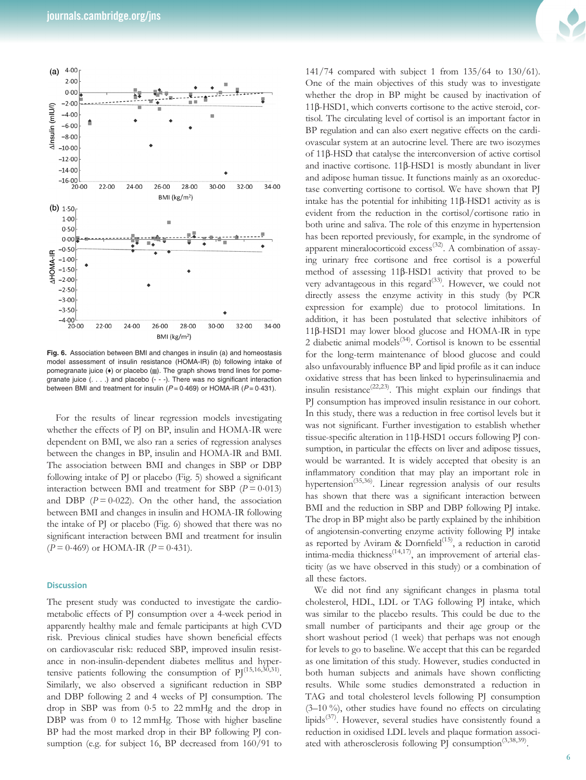

Fig. 6. Association between BMI and changes in insulin (a) and homeostasis model assessment of insulin resistance (HOMA-IR) (b) following intake of pomegranate juice (+) or placebo ( $\blacksquare$ ). The graph shows trend lines for pomegranate juice (. . . .) and placebo (- - -). There was no significant interaction between BMI and treatment for insulin ( $P = 0.469$ ) or HOMA-IR ( $P = 0.431$ ).

For the results of linear regression models investigating whether the effects of PJ on BP, insulin and HOMA-IR were dependent on BMI, we also ran a series of regression analyses between the changes in BP, insulin and HOMA-IR and BMI. The association between BMI and changes in SBP or DBP following intake of PJ or placebo (Fig. 5) showed a significant interaction between BMI and treatment for SBP ( $P = 0.013$ ) and DBP  $(P = 0.022)$ . On the other hand, the association between BMI and changes in insulin and HOMA-IR following the intake of PJ or placebo (Fig. 6) showed that there was no significant interaction between BMI and treatment for insulin  $(P = 0.469)$  or HOMA-IR  $(P = 0.431)$ .

# **Discussion**

The present study was conducted to investigate the cardiometabolic effects of PJ consumption over a 4-week period in apparently healthy male and female participants at high CVD risk. Previous clinical studies have shown beneficial effects on cardiovascular risk: reduced SBP, improved insulin resistance in non-insulin-dependent diabetes mellitus and hypertensive patients following the consumption of  $PI^{(15,16,30,31)}$ . Similarly, we also observed a significant reduction in SBP and DBP following 2 and 4 weeks of PJ consumption. The drop in SBP was from 0·5 to 22 mmHg and the drop in DBP was from 0 to 12 mmHg. Those with higher baseline BP had the most marked drop in their BP following PJ consumption (e.g. for subject 16, BP decreased from 160/91 to

141/74 compared with subject 1 from 135/64 to 130/61). One of the main objectives of this study was to investigate whether the drop in BP might be caused by inactivation of 11β-HSD1, which converts cortisone to the active steroid, cortisol. The circulating level of cortisol is an important factor in BP regulation and can also exert negative effects on the cardiovascular system at an autocrine level. There are two isozymes of 11β-HSD that catalyse the interconversion of active cortisol and inactive cortisone. 11β-HSD1 is mostly abundant in liver and adipose human tissue. It functions mainly as an oxoreductase converting cortisone to cortisol. We have shown that PJ intake has the potential for inhibiting 11β-HSD1 activity as is evident from the reduction in the cortisol/cortisone ratio in both urine and saliva. The role of this enzyme in hypertension has been reported previously, for example, in the syndrome of apparent mineralocorticoid  $excess^{(32)}$ . A combination of assaying urinary free cortisone and free cortisol is a powerful method of assessing 11β-HSD1 activity that proved to be very advantageous in this regard<sup>(33)</sup>. However, we could not directly assess the enzyme activity in this study (by PCR expression for example) due to protocol limitations. In addition, it has been postulated that selective inhibitors of 11β-HSD1 may lower blood glucose and HOMA-IR in type 2 diabetic animal models<sup>(34)</sup>. Cortisol is known to be essential for the long-term maintenance of blood glucose and could also unfavourably influence BP and lipid profile as it can induce oxidative stress that has been linked to hyperinsulinaemia and insulin resistance<sup>(22,23)</sup>. This might explain our findings that PJ consumption has improved insulin resistance in our cohort. In this study, there was a reduction in free cortisol levels but it was not significant. Further investigation to establish whether tissue-specific alteration in 11β-HSD1 occurs following PJ consumption, in particular the effects on liver and adipose tissues, would be warranted. It is widely accepted that obesity is an inflammatory condition that may play an important role in hypertension<sup>(35,36)</sup>. Linear regression analysis of our results has shown that there was a significant interaction between BMI and the reduction in SBP and DBP following PJ intake. The drop in BP might also be partly explained by the inhibition of angiotensin-converting enzyme activity following PJ intake as reported by Aviram & Dornfield<sup> $(15)$ </sup>, a reduction in carotid intima-media thickness<sup>(14,17)</sup>, an improvement of arterial elasticity (as we have observed in this study) or a combination of all these factors.

We did not find any significant changes in plasma total cholesterol, HDL, LDL or TAG following PJ intake, which was similar to the placebo results. This could be due to the small number of participants and their age group or the short washout period (1 week) that perhaps was not enough for levels to go to baseline. We accept that this can be regarded as one limitation of this study. However, studies conducted in both human subjects and animals have shown conflicting results. While some studies demonstrated a reduction in TAG and total cholesterol levels following PJ consumption (3–10 %), other studies have found no effects on circulating lipids<sup> $(37)$ </sup>. However, several studies have consistently found a reduction in oxidised LDL levels and plaque formation associated with atherosclerosis following PJ consumption<sup>(3,38,39)</sup>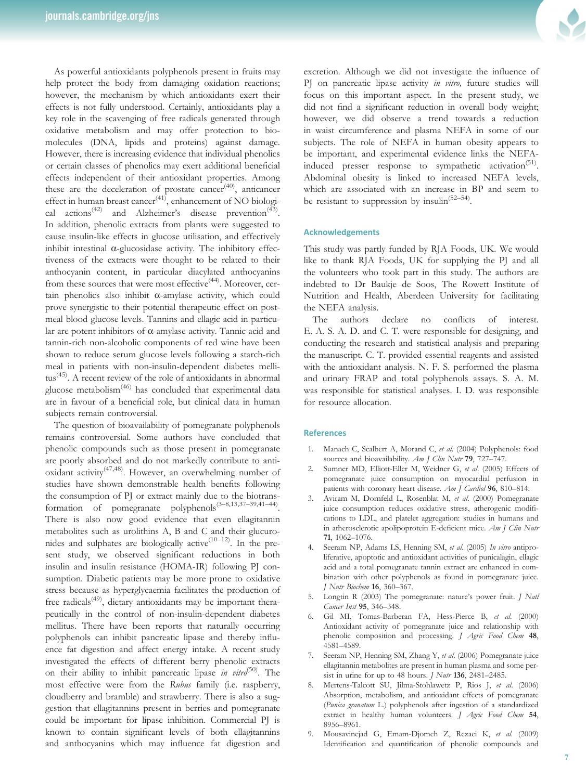As powerful antioxidants polyphenols present in fruits may help protect the body from damaging oxidation reactions; however, the mechanism by which antioxidants exert their effects is not fully understood. Certainly, antioxidants play a key role in the scavenging of free radicals generated through oxidative metabolism and may offer protection to biomolecules (DNA, lipids and proteins) against damage. However, there is increasing evidence that individual phenolics or certain classes of phenolics may exert additional beneficial effects independent of their antioxidant properties. Among these are the deceleration of prostate cancer<sup>(40)</sup>, anticancer effect in human breast cancer<sup>(41)</sup>, enhancement of NO biological actions<sup>(42)</sup> and Alzheimer's disease prevention<sup>(43)</sup>. In addition, phenolic extracts from plants were suggested to cause insulin-like effects in glucose utilisation, and effectively inhibit intestinal  $\alpha$ -glucosidase activity. The inhibitory effectiveness of the extracts were thought to be related to their anthocyanin content, in particular diacylated anthocyanins from these sources that were most effective<sup> $(44)$ </sup>. Moreover, certain phenolics also inhibit α-amylase activity, which could prove synergistic to their potential therapeutic effect on postmeal blood glucose levels. Tannins and ellagic acid in particular are potent inhibitors of α-amylase activity. Tannic acid and tannin-rich non-alcoholic components of red wine have been shown to reduce serum glucose levels following a starch-rich meal in patients with non-insulin-dependent diabetes mellitus<sup> $(45)$ </sup>. A recent review of the role of antioxidants in abnormal glucose metabolism(46) has concluded that experimental data are in favour of a beneficial role, but clinical data in human subjects remain controversial.

The question of bioavailability of pomegranate polyphenols remains controversial. Some authors have concluded that phenolic compounds such as those present in pomegranate are poorly absorbed and do not markedly contribute to antioxidant activity(47,48). However, an overwhelming number of studies have shown demonstrable health benefits following the consumption of PJ or extract mainly due to the biotransformation of pomegranate polyphenols(3–8,13,37–39,41–44). There is also now good evidence that even ellagitannin metabolites such as urolithins A, B and C and their glucuronides and sulphates are biologically active<sup> $(10-12)$ </sup>. In the present study, we observed significant reductions in both insulin and insulin resistance (HOMA-IR) following PJ consumption. Diabetic patients may be more prone to oxidative stress because as hyperglycaemia facilitates the production of free radicals<sup>(49)</sup>, dietary antioxidants may be important therapeutically in the control of non-insulin-dependent diabetes mellitus. There have been reports that naturally occurring polyphenols can inhibit pancreatic lipase and thereby influence fat digestion and affect energy intake. A recent study investigated the effects of different berry phenolic extracts on their ability to inhibit pancreatic lipase in vitro<sup>(50)</sup>. The most effective were from the Rubus family (i.e. raspberry, cloudberry and bramble) and strawberry. There is also a suggestion that ellagitannins present in berries and pomegranate could be important for lipase inhibition. Commercial PJ is known to contain significant levels of both ellagitannins and anthocyanins which may influence fat digestion and



excretion. Although we did not investigate the influence of PJ on pancreatic lipase activity in vitro, future studies will focus on this important aspect. In the present study, we did not find a significant reduction in overall body weight; however, we did observe a trend towards a reduction in waist circumference and plasma NEFA in some of our subjects. The role of NEFA in human obesity appears to be important, and experimental evidence links the NEFAinduced presser response to sympathetic activation<sup>(51)</sup>. Abdominal obesity is linked to increased NEFA levels, which are associated with an increase in BP and seem to be resistant to suppression by insulin<sup>(52-54)</sup>.

# Acknowledgements

This study was partly funded by RJA Foods, UK. We would like to thank RJA Foods, UK for supplying the PJ and all the volunteers who took part in this study. The authors are indebted to Dr Baukje de Soos, The Rowett Institute of Nutrition and Health, Aberdeen University for facilitating the NEFA analysis.

The authors declare no conflicts of interest. E. A. S. A. D. and C. T. were responsible for designing, and conducting the research and statistical analysis and preparing the manuscript. C. T. provided essential reagents and assisted with the antioxidant analysis. N. F. S. performed the plasma and urinary FRAP and total polyphenols assays. S. A. M. was responsible for statistical analyses. I. D. was responsible for resource allocation.

#### **References**

- 1. Manach C, Scalbert A, Morand C, et al. (2004) Polyphenols: food sources and bioavailability. Am J Clin Nutr 79, 727-747.
- 2. Sumner MD, Elliott-Eller M, Weidner G, et al. (2005) Effects of pomegranate juice consumption on myocardial perfusion in patients with coronary heart disease. Am J Cardiol 96, 810-814.
- 3. Aviram M, Dornfeld L, Rosenblat M, et al. (2000) Pomegranate juice consumption reduces oxidative stress, atherogenic modifications to LDL, and platelet aggregation: studies in humans and in atherosclerotic apolipoprotein E-deficient mice. Am J Clin Nutr 71, 1062–1076.
- 4. Seeram NP, Adams LS, Henning SM, et al. (2005) In vitro antiproliferative, apoptotic and antioxidant activities of punicalagin, ellagic acid and a total pomegranate tannin extract are enhanced in combination with other polyphenols as found in pomegranate juice. J Nutr Biochem 16, 360–367.
- 5. Longtin R (2003) The pomegranate: nature's power fruit. J Natl Cancer Inst 95, 346-348.
- 6. Gil MI, Tomas-Barberan FA, Hess-Pierce B, et al. (2000) Antioxidant activity of pomegranate juice and relationship with phenolic composition and processing. J Agric Food Chem 48, 4581–4589.
- 7. Seeram NP, Henning SM, Zhang Y, et al. (2006) Pomegranate juice ellagitannin metabolites are present in human plasma and some persist in urine for up to 48 hours. *J Nutr* 136, 2481-2485.
- 8. Mertens-Talcott SU, Jilma-Stohlawetz P, Rios J, et al. (2006) Absorption, metabolism, and antioxidant effects of pomegranate (Punica granatum L.) polyphenols after ingestion of a standardized extract in healthy human volunteers. J Agric Food Chem 54, 8956–8961.
- 9. Mousavinejad G, Emam-Djomeh Z, Rezaei K, et al. (2009) Identification and quantification of phenolic compounds and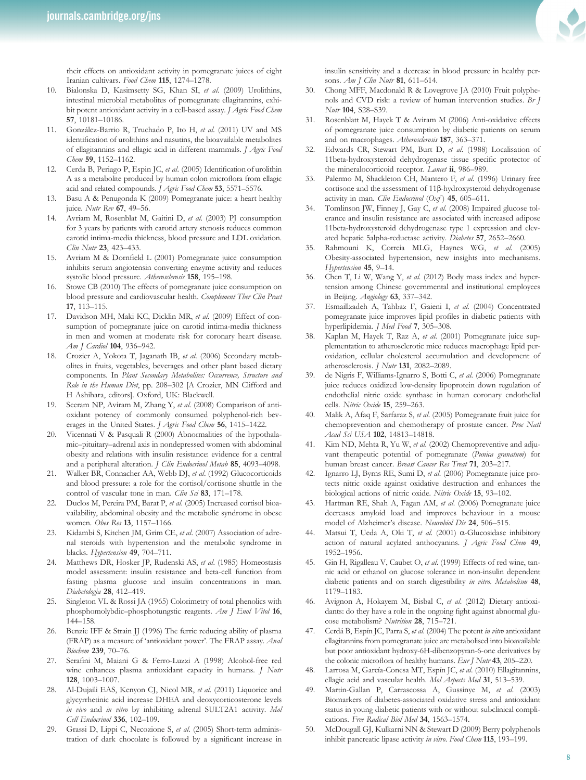their effects on antioxidant activity in pomegranate juices of eight Iranian cultivars. Food Chem 115, 1274-1278.

- 10. Bialonska D, Kasimsetty SG, Khan SI, et al. (2009) Urolithins, intestinal microbial metabolites of pomegranate ellagitannins, exhibit potent antioxidant activity in a cell-based assay. J Agric Food Chem 57, 10181–10186.
- 11. González-Barrio R, Truchado P, Ito H, et al. (2011) UV and MS identification of urolithins and nasutins, the bioavailable metabolites of ellagitannins and ellagic acid in different mammals. J Agric Food Chem 59, 1152-1162.
- 12. Cerda B, Periago P, Espin JC, et al. (2005) Identification of urolithin A as a metabolite produced by human colon microflora from ellagic acid and related compounds. J Agric Food Chem 53, 5571-5576.
- 13. Basu A & Penugonda K (2009) Pomegranate juice: a heart healthy juice. Nutr Rev 67, 49–56.
- 14. Avriam M, Rosenblat M, Gaitini D, et al. (2003) PJ consumption for 3 years by patients with carotid artery stenosis reduces common carotid intima-media thickness, blood pressure and LDL oxidation. Clin Nutr 23, 423-433.
- 15. Avriam M & Dornfield L (2001) Pomegranate juice consumption inhibits serum angiotensin converting enzyme activity and reduces systolic blood pressure. Atherosclerosis 158, 195–198.
- 16. Stowe CB (2010) The effects of pomegranate juice consumption on blood pressure and cardiovascular health. Complement Ther Clin Pract 17, 113–115.
- 17. Davidson MH, Maki KC, Dicklin MR, et al. (2009) Effect of consumption of pomegranate juice on carotid intima-media thickness in men and women at moderate risk for coronary heart disease. Am J Cardiol 104, 936-942.
- 18. Crozier A, Yokota T, Jaganath IB, et al. (2006) Secondary metabolites in fruits, vegetables, beverages and other plant based dietary components. In Plant Secondary Metabolites: Occurrence, Structure and Role in the Human Diet, pp. 208–302 [A Crozier, MN Clifford and H Ashihara, editors]. Oxford, UK: Blackwell.
- 19. Seeram NP, Aviram M, Zhang Y, et al. (2008) Comparison of antioxidant potency of commonly consumed polyphenol-rich beverages in the United States. J Agric Food Chem 56, 1415-1422.
- 20. Vicennati V & Pasquali R (2000) Abnormalities of the hypothalamic–pituitary–adrenal axis in nondepressed women with abdominal obesity and relations with insulin resistance: evidence for a central and a peripheral alteration. J Clin Endocrinol Metab 85, 4093-4098.
- 21. Walker BR, Connacher AA, Webb DJ, et al. (1992) Glucocorticoids and blood pressure: a role for the cortisol/cortisone shuttle in the control of vascular tone in man. Clin Sci 83, 171-178.
- 22. Duclos M, Pereira PM, Barat P, et al. (2005) Increased cortisol bioavailability, abdominal obesity and the metabolic syndrome in obese women. Obes Res 13, 1157–1166.
- 23. Kidambi S, Kitchen JM, Grim CE, et al. (2007) Association of adrenal steroids with hypertension and the metabolic syndrome in blacks. Hypertension 49, 704–711.
- 24. Matthews DR, Hosker JP, Rudenski AS, et al. (1985) Homeostasis model assessment: insulin resistance and beta-cell function from fasting plasma glucose and insulin concentrations in man. Diabetologia 28, 412–419.
- 25. Singleton VL & Rossi JA (1965) Colorimetry of total phenolics with phosphomolybdic–phosphotungstic reagents. Am J Enol Vitol 16, 144–158.
- 26. Benzie IFF & Strain JJ (1996) The ferric reducing ability of plasma (FRAP) as a measure of 'antioxidant power'. The FRAP assay. Anal Biochem 239, 70–76.
- 27. Serafini M, Maiani G & Ferro-Luzzi A (1998) Alcohol-free red wine enhances plasma antioxidant capacity in humans. *J Nutr* 128, 1003–1007.
- 28. Al-Dujaili EAS, Kenyon CJ, Nicol MR, et al. (2011) Liquorice and glycyrrhetinic acid increase DHEA and deoxycorticosterone levels in vivo and in vitro by inhibiting adrenal SULT2A1 activity. Mol Cell Endocrinol 336, 102–109.
- 29. Grassi D, Lippi C, Necozione S, et al. (2005) Short-term administration of dark chocolate is followed by a significant increase in

insulin sensitivity and a decrease in blood pressure in healthy persons. Am J Clin Nutr 81, 611-614.

- 30. Chong MFF, Macdonald R & Lovegrove JA (2010) Fruit polyphenols and CVD risk: a review of human intervention studies. Br J Nutr 104, S28–S39.
- 31. Rosenblatt M, Hayek T & Aviram M (2006) Anti-oxidative effects of pomegranate juice consumption by diabetic patients on serum and on macrophages. Atherosclerosis 187, 363–371.
- Edwards CR, Stewart PM, Burt D, et al. (1988) Localisation of 11beta-hydroxysteroid dehydrogenase tissue specific protector of the mineralocorticoid receptor. Lancet ii, 986-989.
- 33. Palermo M, Shackleton CH, Mantero F, et al. (1996) Urinary free cortisone and the assessment of 11β-hydroxysteroid dehydrogenase activity in man. Clin Endocrinol (Oxf)  $45, 605-611$ .
- 34. Tomlinson JW, Finney J, Gay C, et al. (2008) Impaired glucose tolerance and insulin resistance are associated with increased adipose 11beta-hydroxysteroid dehydrogenase type 1 expression and elevated hepatic 5alpha-reductase activity. Diabetes 57, 2652–2660.
- 35. Rahmouni K, Correia MLG, Haynes WG, et al. (2005) Obesity-associated hypertension, new insights into mechanisms. Hypertension 45, 9–14.
- 36. Chen T, Li W, Wang Y, et al. (2012) Body mass index and hypertension among Chinese governmental and institutional employees in Beijing. Angiology 63, 337–342.
- 37. Esmaillzadeh A, Tahbaz F, Gaieni I, et al. (2004) Concentrated pomegranate juice improves lipid profiles in diabetic patients with hyperlipidemia. J Med Food 7, 305-308.
- 38. Kaplan M, Hayek T, Raz A, et al. (2001) Pomegranate juice supplementation to atherosclerotic mice reduces macrophage lipid peroxidation, cellular cholesterol accumulation and development of atherosclerosis. J Nutr 131, 2082–2089.
- 39. de Nigris F, Williams-Ignarro S, Botti C, et al. (2006) Pomegranate juice reduces oxidized low-density lipoprotein down regulation of endothelial nitric oxide synthase in human coronary endothelial cells. Nitric Oxide 15, 259–263.
- 40. Malik A, Afaq F, Sarfaraz S, et al. (2005) Pomegranate fruit juice for chemoprevention and chemotherapy of prostate cancer. Proc Natl Acad Sci USA 102, 14813-14818.
- 41. Kim ND, Mehta R, Yu W, et al. (2002) Chemopreventive and adjuvant therapeutic potential of pomegranate (Punica granatum) for human breast cancer. Breast Cancer Res Treat 71, 203–217.
- 42. Ignarro LJ, Byrns RE, Sumi D, et al. (2006) Pomegranate juice protects nitric oxide against oxidative destruction and enhances the biological actions of nitric oxide. Nitric Oxide 15, 93–102.
- 43. Hartman RE, Shah A, Fagan AM, et al. (2006) Pomegranate juice decreases amyloid load and improves behaviour in a mouse model of Alzheimer's disease. Neurobiol Dis 24, 506–515.
- Matsui T, Ueda A, Oki T, et al. (2001) α-Glucosidase inhibitory action of natural acylated anthocyanins. J Agric Food Chem 49, 1952–1956.
- 45. Gin H, Rigalleau V, Caubet O, et al. (1999) Effects of red wine, tannic acid or ethanol on glucose tolerance in non-insulin dependent diabetic patients and on starch digestibility in vitro. Metabolism 48, 1179–1183.
- 46. Avignon A, Hokayem M, Bisbal C, et al. (2012) Dietary antioxidants: do they have a role in the ongoing fight against abnormal glucose metabolism? Nutrition 28, 715–721.
- 47. Cerdá B, Espín JC, Parra S, et al. (2004) The potent in vitro antioxidant ellagitannins from pomegranate juice are metabolised into bioavailable but poor antioxidant hydroxy-6H-dibenzopyran-6-one derivatives by the colonic microflora of healthy humans. Eur J Nutr 43, 205–220.
- 48. Larrosa M, García-Conesa MT, Espín JC, et al. (2010) Ellagitannins, ellagic acid and vascular health. Mol Aspects Med 31, 513-539.
- 49. Martin-Gallan P, Carrascossa A, Gussinye M, et al. (2003) Biomarkers of diabetes-associated oxidative stress and antioxidant status in young diabetic patients with or without subclinical complications. Free Radical Biol Med 34, 1563–1574.
- 50. McDougall GJ, Kulkarni NN & Stewart D (2009) Berry polyphenols inhibit pancreatic lipase activity in vitro. Food Chem 115, 193-199.